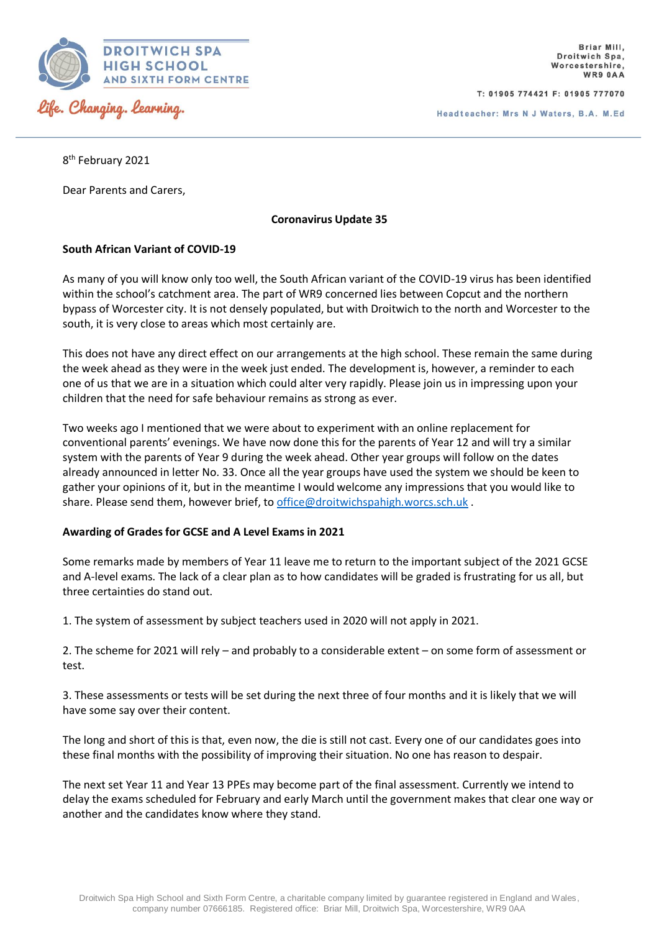

T: 01905 774421 F: 01905 777070

Headteacher: Mrs N J Waters, B.A. M.Ed

8 th February 2021

Dear Parents and Carers,

**Coronavirus Update 35**

## **South African Variant of COVID-19**

As many of you will know only too well, the South African variant of the COVID-19 virus has been identified within the school's catchment area. The part of WR9 concerned lies between Copcut and the northern bypass of Worcester city. It is not densely populated, but with Droitwich to the north and Worcester to the south, it is very close to areas which most certainly are.

This does not have any direct effect on our arrangements at the high school. These remain the same during the week ahead as they were in the week just ended. The development is, however, a reminder to each one of us that we are in a situation which could alter very rapidly. Please join us in impressing upon your children that the need for safe behaviour remains as strong as ever.

Two weeks ago I mentioned that we were about to experiment with an online replacement for conventional parents' evenings. We have now done this for the parents of Year 12 and will try a similar system with the parents of Year 9 during the week ahead. Other year groups will follow on the dates already announced in letter No. 33. Once all the year groups have used the system we should be keen to gather your opinions of it, but in the meantime I would welcome any impressions that you would like to share. Please send them, however brief, to [office@droitwichspahigh.worcs.sch.uk](mailto:office@droitwichspahigh.worcs.sch.uk).

## **Awarding of Grades for GCSE and A Level Exams in 2021**

Some remarks made by members of Year 11 leave me to return to the important subject of the 2021 GCSE and A-level exams. The lack of a clear plan as to how candidates will be graded is frustrating for us all, but three certainties do stand out.

1. The system of assessment by subject teachers used in 2020 will not apply in 2021.

2. The scheme for 2021 will rely – and probably to a considerable extent – on some form of assessment or test.

3. These assessments or tests will be set during the next three of four months and it is likely that we will have some say over their content.

The long and short of this is that, even now, the die is still not cast. Every one of our candidates goes into these final months with the possibility of improving their situation. No one has reason to despair.

The next set Year 11 and Year 13 PPEs may become part of the final assessment. Currently we intend to delay the exams scheduled for February and early March until the government makes that clear one way or another and the candidates know where they stand.